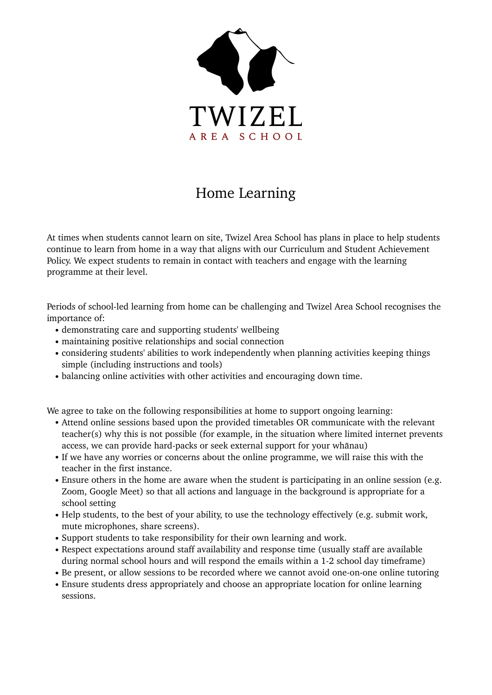

## Home Learning

At times when students cannot learn on site, Twizel Area School has plans in place to help students continue to learn from home in a way that aligns with our Curriculum and Student Achievement Policy. We expect students to remain in contact with teachers and engage with the learning programme at their level.

Periods of school-led learning from home can be challenging and Twizel Area School recognises the importance of:

- demonstrating care and supporting students' wellbeing
- maintaining positive relationships and social connection
- considering students' abilities to work independently when planning activities keeping things simple (including instructions and tools)
- balancing online activities with other activities and encouraging down time.

We agree to take on the following responsibilities at home to support ongoing learning:

- Attend online sessions based upon the provided timetables OR communicate with the relevant teacher(s) why this is not possible (for example, in the situation where limited internet prevents access, we can provide hard-packs or seek external support for your whānau)
- If we have any worries or concerns about the online programme, we will raise this with the teacher in the first instance.
- Ensure others in the home are aware when the student is participating in an online session (e.g. Zoom, Google Meet) so that all actions and language in the background is appropriate for a school setting
- Help students, to the best of your ability, to use the technology effectively (e.g. submit work, mute microphones, share screens).
- Support students to take responsibility for their own learning and work.
- Respect expectations around staff availability and response time (usually staff are available during normal school hours and will respond the emails within a 1-2 school day timeframe)
- Be present, or allow sessions to be recorded where we cannot avoid one-on-one online tutoring
- Ensure students dress appropriately and choose an appropriate location for online learning sessions.